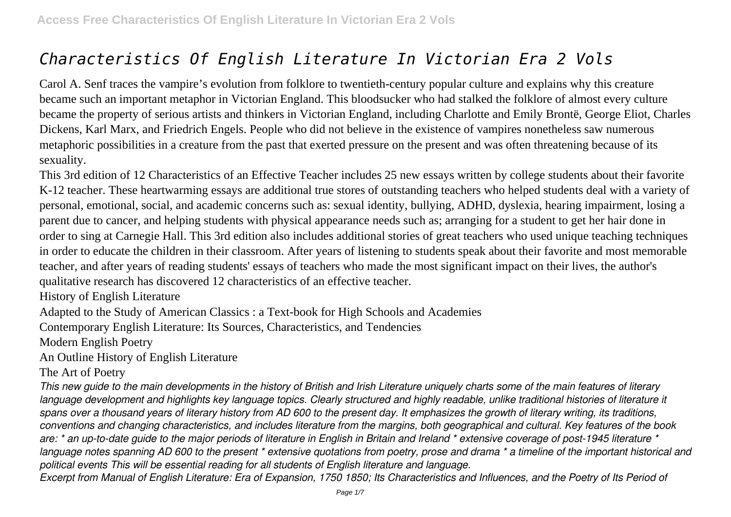# *Characteristics Of English Literature In Victorian Era 2 Vols*

Carol A. Senf traces the vampire's evolution from folklore to twentieth-century popular culture and explains why this creature became such an important metaphor in Victorian England. This bloodsucker who had stalked the folklore of almost every culture became the property of serious artists and thinkers in Victorian England, including Charlotte and Emily Brontë, George Eliot, Charles Dickens, Karl Marx, and Friedrich Engels. People who did not believe in the existence of vampires nonetheless saw numerous metaphoric possibilities in a creature from the past that exerted pressure on the present and was often threatening because of its sexuality.

This 3rd edition of 12 Characteristics of an Effective Teacher includes 25 new essays written by college students about their favorite K-12 teacher. These heartwarming essays are additional true stores of outstanding teachers who helped students deal with a variety of personal, emotional, social, and academic concerns such as: sexual identity, bullying, ADHD, dyslexia, hearing impairment, losing a parent due to cancer, and helping students with physical appearance needs such as; arranging for a student to get her hair done in order to sing at Carnegie Hall. This 3rd edition also includes additional stories of great teachers who used unique teaching techniques in order to educate the children in their classroom. After years of listening to students speak about their favorite and most memorable teacher, and after years of reading students' essays of teachers who made the most significant impact on their lives, the author's qualitative research has discovered 12 characteristics of an effective teacher.

History of English Literature

Adapted to the Study of American Classics : a Text-book for High Schools and Academies

Contemporary English Literature: Its Sources, Characteristics, and Tendencies

Modern English Poetry

An Outline History of English Literature

The Art of Poetry

*This new guide to the main developments in the history of British and Irish Literature uniquely charts some of the main features of literary* language development and highlights key language topics. Clearly structured and highly readable, unlike traditional histories of literature it *spans over a thousand years of literary history from AD 600 to the present day. It emphasizes the growth of literary writing, its traditions, conventions and changing characteristics, and includes literature from the margins, both geographical and cultural. Key features of the book are: \* an up-to-date guide to the major periods of literature in English in Britain and Ireland \* extensive coverage of post-1945 literature \* language notes spanning AD 600 to the present \* extensive quotations from poetry, prose and drama \* a timeline of the important historical and political events This will be essential reading for all students of English literature and language.*

*Excerpt from Manual of English Literature: Era of Expansion, 1750 1850; Its Characteristics and Influences, and the Poetry of Its Period of*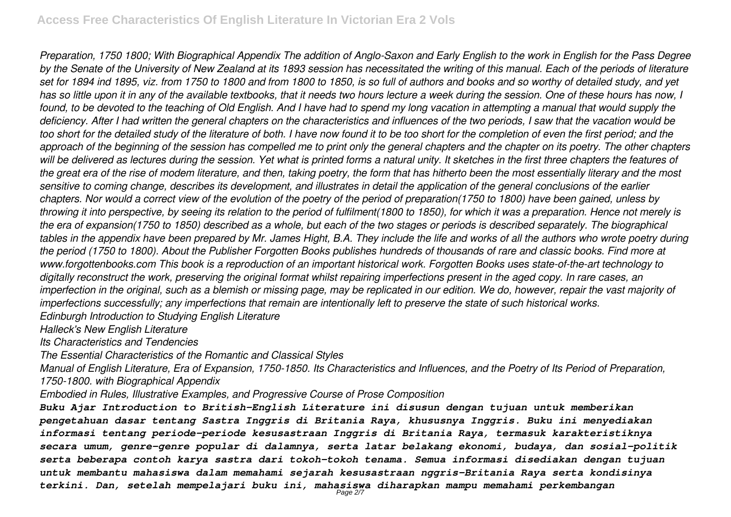*Preparation, 1750 1800; With Biographical Appendix The addition of Anglo-Saxon and Early English to the work in English for the Pass Degree by the Senate of the University of New Zealand at its 1893 session has necessitated the writing of this manual. Each of the periods of literature set for 1894 ind 1895, viz. from 1750 to 1800 and from 1800 to 1850, is so full of authors and books and so worthy of detailed study, and yet has so little upon it in any of the available textbooks, that it needs two hours lecture a week during the session. One of these hours has now, I found, to be devoted to the teaching of Old English. And I have had to spend my long vacation in attempting a manual that would supply the deficiency. After I had written the general chapters on the characteristics and influences of the two periods, I saw that the vacation would be too short for the detailed study of the literature of both. I have now found it to be too short for the completion of even the first period; and the approach of the beginning of the session has compelled me to print only the general chapters and the chapter on its poetry. The other chapters will be delivered as lectures during the session. Yet what is printed forms a natural unity. It sketches in the first three chapters the features of the great era of the rise of modem literature, and then, taking poetry, the form that has hitherto been the most essentially literary and the most sensitive to coming change, describes its development, and illustrates in detail the application of the general conclusions of the earlier chapters. Nor would a correct view of the evolution of the poetry of the period of preparation(1750 to 1800) have been gained, unless by throwing it into perspective, by seeing its relation to the period of fulfilment(1800 to 1850), for which it was a preparation. Hence not merely is the era of expansion(1750 to 1850) described as a whole, but each of the two stages or periods is described separately. The biographical tables in the appendix have been prepared by Mr. James Hight, B.A. They include the life and works of all the authors who wrote poetry during the period (1750 to 1800). About the Publisher Forgotten Books publishes hundreds of thousands of rare and classic books. Find more at www.forgottenbooks.com This book is a reproduction of an important historical work. Forgotten Books uses state-of-the-art technology to digitally reconstruct the work, preserving the original format whilst repairing imperfections present in the aged copy. In rare cases, an imperfection in the original, such as a blemish or missing page, may be replicated in our edition. We do, however, repair the vast majority of imperfections successfully; any imperfections that remain are intentionally left to preserve the state of such historical works. Edinburgh Introduction to Studying English Literature*

*Halleck's New English Literature*

*Its Characteristics and Tendencies*

*The Essential Characteristics of the Romantic and Classical Styles*

*Manual of English Literature, Era of Expansion, 1750-1850. Its Characteristics and Influences, and the Poetry of Its Period of Preparation, 1750-1800. with Biographical Appendix*

*Embodied in Rules, Illustrative Examples, and Progressive Course of Prose Composition*

*Buku Ajar Introduction to British-English Literature ini disusun dengan tujuan untuk memberikan pengetahuan dasar tentang Sastra Inggris di Britania Raya, khususnya Inggris. Buku ini menyediakan informasi tentang periode-periode kesusastraan Inggris di Britania Raya, termasuk karakteristiknya secara umum, genre-genre popular di dalamnya, serta latar belakang ekonomi, budaya, dan sosial-politik serta beberapa contoh karya sastra dari tokoh-tokoh tenama. Semua informasi disediakan dengan tujuan untuk membantu mahasiswa dalam memahami sejarah kesusastraan nggris-Britania Raya serta kondisinya terkini. Dan, setelah mempelajari buku ini, mahasiswa diharapkan mampu memahami perkembangan* Page 2/7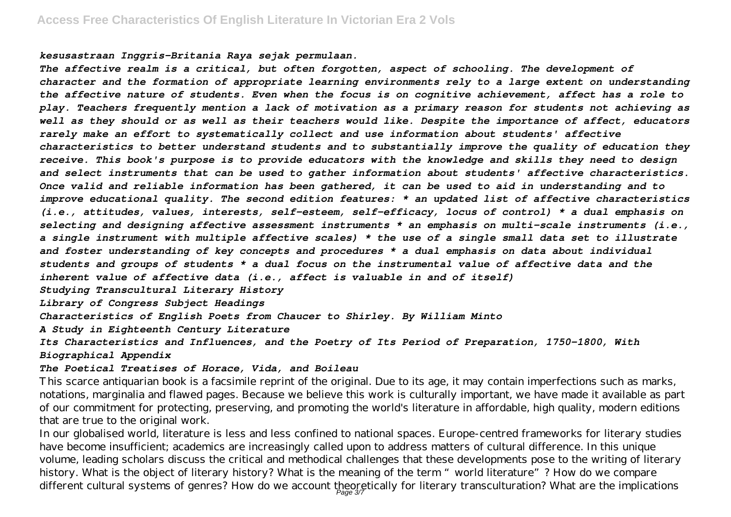*kesusastraan Inggris-Britania Raya sejak permulaan.*

*The affective realm is a critical, but often forgotten, aspect of schooling. The development of character and the formation of appropriate learning environments rely to a large extent on understanding the affective nature of students. Even when the focus is on cognitive achievement, affect has a role to play. Teachers frequently mention a lack of motivation as a primary reason for students not achieving as well as they should or as well as their teachers would like. Despite the importance of affect, educators rarely make an effort to systematically collect and use information about students' affective characteristics to better understand students and to substantially improve the quality of education they receive. This book's purpose is to provide educators with the knowledge and skills they need to design and select instruments that can be used to gather information about students' affective characteristics. Once valid and reliable information has been gathered, it can be used to aid in understanding and to improve educational quality. The second edition features: \* an updated list of affective characteristics (i.e., attitudes, values, interests, self-esteem, self-efficacy, locus of control) \* a dual emphasis on selecting and designing affective assessment instruments \* an emphasis on multi-scale instruments (i.e., a single instrument with multiple affective scales) \* the use of a single small data set to illustrate and foster understanding of key concepts and procedures \* a dual emphasis on data about individual students and groups of students \* a dual focus on the instrumental value of affective data and the inherent value of affective data (i.e., affect is valuable in and of itself)*

*Studying Transcultural Literary History*

*Library of Congress Subject Headings*

*Characteristics of English Poets from Chaucer to Shirley. By William Minto*

*A Study in Eighteenth Century Literature*

*Its Characteristics and Influences, and the Poetry of Its Period of Preparation, 1750-1800, With Biographical Appendix*

#### *The Poetical Treatises of Horace, Vida, and Boileau*

This scarce antiquarian book is a facsimile reprint of the original. Due to its age, it may contain imperfections such as marks, notations, marginalia and flawed pages. Because we believe this work is culturally important, we have made it available as part of our commitment for protecting, preserving, and promoting the world's literature in affordable, high quality, modern editions that are true to the original work.

In our globalised world, literature is less and less confined to national spaces. Europe-centred frameworks for literary studies have become insufficient; academics are increasingly called upon to address matters of cultural difference. In this unique volume, leading scholars discuss the critical and methodical challenges that these developments pose to the writing of literary history. What is the object of literary history? What is the meaning of the term "world literature"? How do we compare different cultural systems of genres? How do we account theoretically for literary transculturation? What are the implications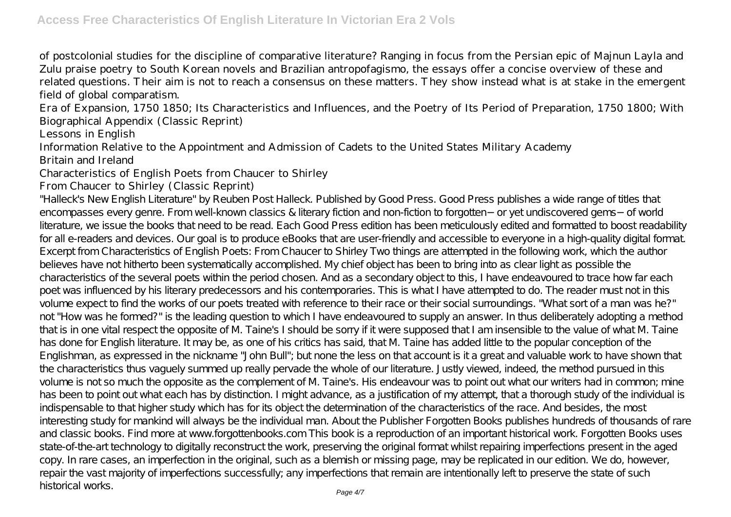of postcolonial studies for the discipline of comparative literature? Ranging in focus from the Persian epic of Majnun Layla and Zulu praise poetry to South Korean novels and Brazilian antropofagismo, the essays offer a concise overview of these and related questions. Their aim is not to reach a consensus on these matters. They show instead what is at stake in the emergent field of global comparatism.

Era of Expansion, 1750 1850; Its Characteristics and Influences, and the Poetry of Its Period of Preparation, 1750 1800; With Biographical Appendix (Classic Reprint)

Lessons in English

Information Relative to the Appointment and Admission of Cadets to the United States Military Academy Britain and Ireland

Characteristics of English Poets from Chaucer to Shirley

### From Chaucer to Shirley (Classic Reprint)

"Halleck's New English Literature" by Reuben Post Halleck. Published by Good Press. Good Press publishes a wide range of titles that encompasses every genre. From well-known classics & literary fiction and non-fiction to forgotten−or yet undiscovered gems−of world literature, we issue the books that need to be read. Each Good Press edition has been meticulously edited and formatted to boost readability for all e-readers and devices. Our goal is to produce eBooks that are user-friendly and accessible to everyone in a high-quality digital format. Excerpt from Characteristics of English Poets: From Chaucer to Shirley Two things are attempted in the following work, which the author believes have not hitherto been systematically accomplished. My chief object has been to bring into as clear light as possible the characteristics of the several poets within the period chosen. And as a secondary object to this, I have endeavoured to trace how far each poet was influenced by his literary predecessors and his contemporaries. This is what I have attempted to do. The reader must not in this volume expect to find the works of our poets treated with reference to their race or their social surroundings. "What sort of a man was he?" not "How was he formed?" is the leading question to which I have endeavoured to supply an answer. In thus deliberately adopting a method that is in one vital respect the opposite of M. Taine's I should be sorry if it were supposed that I am insensible to the value of what M. Taine has done for English literature. It may be, as one of his critics has said, that M. Taine has added little to the popular conception of the Englishman, as expressed in the nickname "John Bull"; but none the less on that account is it a great and valuable work to have shown that the characteristics thus vaguely summed up really pervade the whole of our literature. Justly viewed, indeed, the method pursued in this volume is not so much the opposite as the complement of M. Taine's. His endeavour was to point out what our writers had in common; mine has been to point out what each has by distinction. I might advance, as a justification of my attempt, that a thorough study of the individual is indispensable to that higher study which has for its object the determination of the characteristics of the race. And besides, the most interesting study for mankind will always be the individual man. About the Publisher Forgotten Books publishes hundreds of thousands of rare and classic books. Find more at www.forgottenbooks.com This book is a reproduction of an important historical work. Forgotten Books uses state-of-the-art technology to digitally reconstruct the work, preserving the original format whilst repairing imperfections present in the aged copy. In rare cases, an imperfection in the original, such as a blemish or missing page, may be replicated in our edition. We do, however, repair the vast majority of imperfections successfully; any imperfections that remain are intentionally left to preserve the state of such historical works. Page 4/7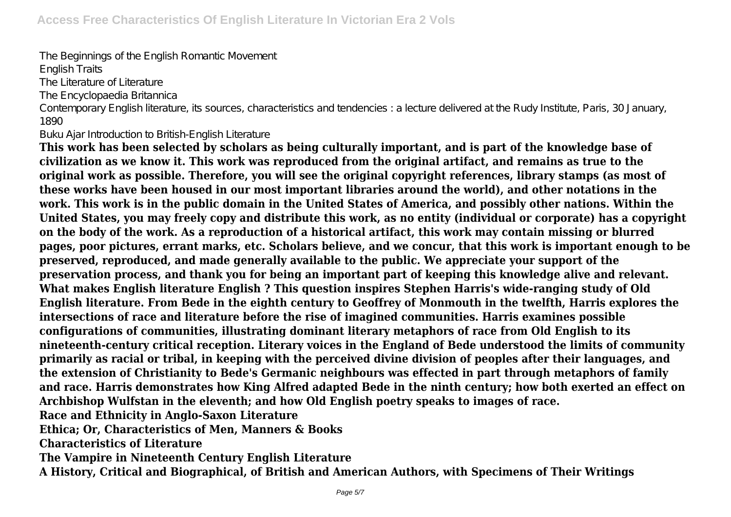The Beginnings of the English Romantic Movement English Traits The Literature of Literature The Encyclopaedia Britannica Contemporary English literature, its sources, characteristics and tendencies : a lecture delivered at the Rudy Institute, Paris, 30 January, 1890

Buku Ajar Introduction to British-English Literature

**This work has been selected by scholars as being culturally important, and is part of the knowledge base of civilization as we know it. This work was reproduced from the original artifact, and remains as true to the original work as possible. Therefore, you will see the original copyright references, library stamps (as most of these works have been housed in our most important libraries around the world), and other notations in the work. This work is in the public domain in the United States of America, and possibly other nations. Within the United States, you may freely copy and distribute this work, as no entity (individual or corporate) has a copyright on the body of the work. As a reproduction of a historical artifact, this work may contain missing or blurred pages, poor pictures, errant marks, etc. Scholars believe, and we concur, that this work is important enough to be preserved, reproduced, and made generally available to the public. We appreciate your support of the preservation process, and thank you for being an important part of keeping this knowledge alive and relevant. What makes English literature English ? This question inspires Stephen Harris's wide-ranging study of Old English literature. From Bede in the eighth century to Geoffrey of Monmouth in the twelfth, Harris explores the intersections of race and literature before the rise of imagined communities. Harris examines possible configurations of communities, illustrating dominant literary metaphors of race from Old English to its nineteenth-century critical reception. Literary voices in the England of Bede understood the limits of community primarily as racial or tribal, in keeping with the perceived divine division of peoples after their languages, and the extension of Christianity to Bede's Germanic neighbours was effected in part through metaphors of family and race. Harris demonstrates how King Alfred adapted Bede in the ninth century; how both exerted an effect on Archbishop Wulfstan in the eleventh; and how Old English poetry speaks to images of race. Race and Ethnicity in Anglo-Saxon Literature Ethica; Or, Characteristics of Men, Manners & Books Characteristics of Literature The Vampire in Nineteenth Century English Literature**

**A History, Critical and Biographical, of British and American Authors, with Specimens of Their Writings**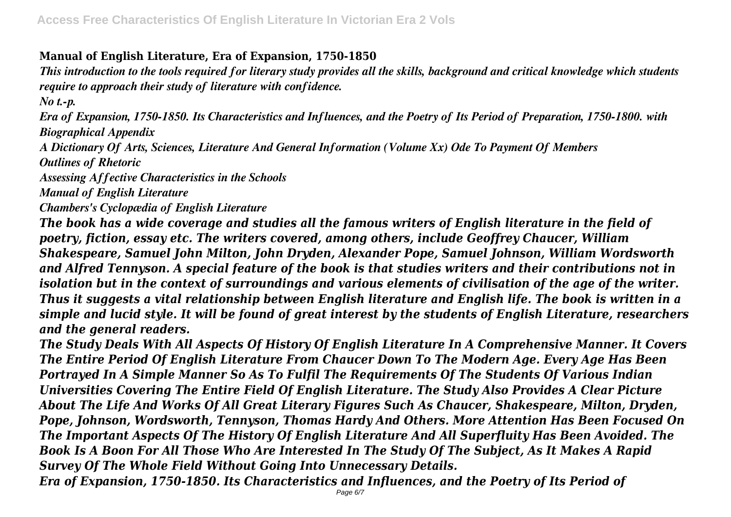# **Manual of English Literature, Era of Expansion, 1750-1850**

*This introduction to the tools required for literary study provides all the skills, background and critical knowledge which students require to approach their study of literature with confidence.*

*No t.-p.*

*Era of Expansion, 1750-1850. Its Characteristics and Influences, and the Poetry of Its Period of Preparation, 1750-1800. with Biographical Appendix*

*A Dictionary Of Arts, Sciences, Literature And General Information (Volume Xx) Ode To Payment Of Members*

*Outlines of Rhetoric*

*Assessing Affective Characteristics in the Schools*

*Manual of English Literature*

*Chambers's Cyclopædia of English Literature*

*The book has a wide coverage and studies all the famous writers of English literature in the field of poetry, fiction, essay etc. The writers covered, among others, include Geoffrey Chaucer, William Shakespeare, Samuel John Milton, John Dryden, Alexander Pope, Samuel Johnson, William Wordsworth and Alfred Tennyson. A special feature of the book is that studies writers and their contributions not in isolation but in the context of surroundings and various elements of civilisation of the age of the writer. Thus it suggests a vital relationship between English literature and English life. The book is written in a simple and lucid style. It will be found of great interest by the students of English Literature, researchers and the general readers.*

*The Study Deals With All Aspects Of History Of English Literature In A Comprehensive Manner. It Covers The Entire Period Of English Literature From Chaucer Down To The Modern Age. Every Age Has Been Portrayed In A Simple Manner So As To Fulfil The Requirements Of The Students Of Various Indian Universities Covering The Entire Field Of English Literature. The Study Also Provides A Clear Picture About The Life And Works Of All Great Literary Figures Such As Chaucer, Shakespeare, Milton, Dryden, Pope, Johnson, Wordsworth, Tennyson, Thomas Hardy And Others. More Attention Has Been Focused On The Important Aspects Of The History Of English Literature And All Superfluity Has Been Avoided. The Book Is A Boon For All Those Who Are Interested In The Study Of The Subject, As It Makes A Rapid Survey Of The Whole Field Without Going Into Unnecessary Details.*

*Era of Expansion, 1750-1850. Its Characteristics and Influences, and the Poetry of Its Period of*